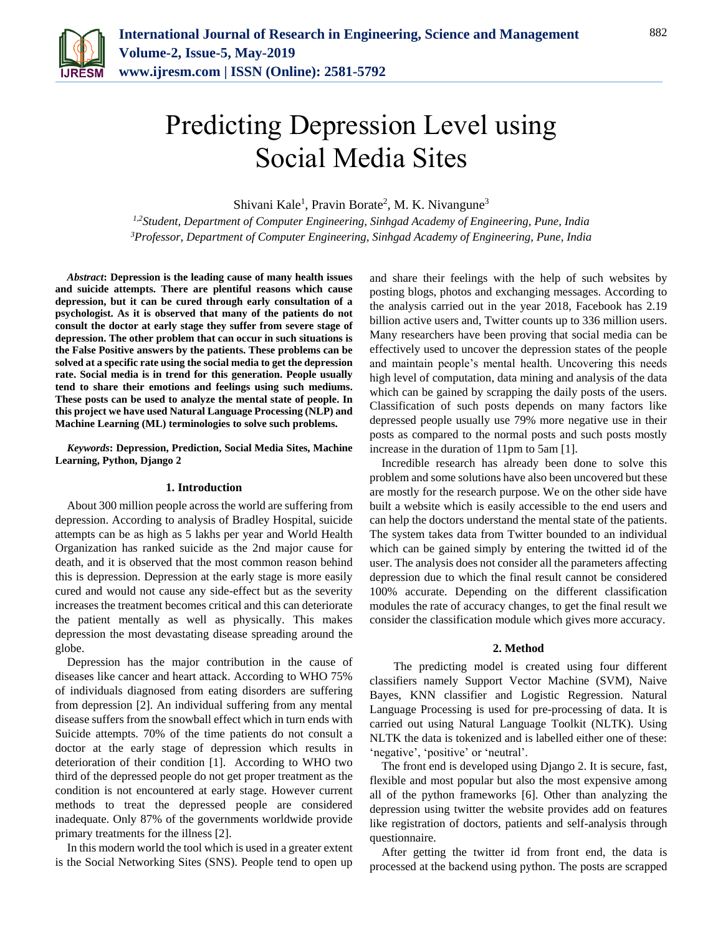

# Predicting Depression Level using Social Media Sites

Shivani Kale<sup>1</sup>, Pravin Borate<sup>2</sup>, M. K. Nivangune<sup>3</sup>

*1,2Student, Department of Computer Engineering, Sinhgad Academy of Engineering, Pune, India 3Professor, Department of Computer Engineering, Sinhgad Academy of Engineering, Pune, India*

*Abstract***: Depression is the leading cause of many health issues and suicide attempts. There are plentiful reasons which cause depression, but it can be cured through early consultation of a psychologist. As it is observed that many of the patients do not consult the doctor at early stage they suffer from severe stage of depression. The other problem that can occur in such situations is the False Positive answers by the patients. These problems can be solved at a specific rate using the social media to get the depression rate. Social media is in trend for this generation. People usually tend to share their emotions and feelings using such mediums. These posts can be used to analyze the mental state of people. In this project we have used Natural Language Processing (NLP) and Machine Learning (ML) terminologies to solve such problems.**

*Keywords***: Depression, Prediction, Social Media Sites, Machine Learning, Python, Django 2**

#### **1. Introduction**

About 300 million people across the world are suffering from depression. According to analysis of Bradley Hospital, suicide attempts can be as high as 5 lakhs per year and World Health Organization has ranked suicide as the 2nd major cause for death, and it is observed that the most common reason behind this is depression. Depression at the early stage is more easily cured and would not cause any side-effect but as the severity increases the treatment becomes critical and this can deteriorate the patient mentally as well as physically. This makes depression the most devastating disease spreading around the globe.

Depression has the major contribution in the cause of diseases like cancer and heart attack. According to WHO 75% of individuals diagnosed from eating disorders are suffering from depression [2]. An individual suffering from any mental disease suffers from the snowball effect which in turn ends with Suicide attempts. 70% of the time patients do not consult a doctor at the early stage of depression which results in deterioration of their condition [1]. According to WHO two third of the depressed people do not get proper treatment as the condition is not encountered at early stage. However current methods to treat the depressed people are considered inadequate. Only 87% of the governments worldwide provide primary treatments for the illness [2].

In this modern world the tool which is used in a greater extent is the Social Networking Sites (SNS). People tend to open up

and share their feelings with the help of such websites by posting blogs, photos and exchanging messages. According to the analysis carried out in the year 2018, Facebook has 2.19 billion active users and, Twitter counts up to 336 million users. Many researchers have been proving that social media can be effectively used to uncover the depression states of the people and maintain people's mental health. Uncovering this needs high level of computation, data mining and analysis of the data which can be gained by scrapping the daily posts of the users. Classification of such posts depends on many factors like depressed people usually use 79% more negative use in their posts as compared to the normal posts and such posts mostly increase in the duration of 11pm to 5am [1].

Incredible research has already been done to solve this problem and some solutions have also been uncovered but these are mostly for the research purpose. We on the other side have built a website which is easily accessible to the end users and can help the doctors understand the mental state of the patients. The system takes data from Twitter bounded to an individual which can be gained simply by entering the twitted id of the user. The analysis does not consider all the parameters affecting depression due to which the final result cannot be considered 100% accurate. Depending on the different classification modules the rate of accuracy changes, to get the final result we consider the classification module which gives more accuracy.

#### **2. Method**

The predicting model is created using four different classifiers namely Support Vector Machine (SVM), Naive Bayes, KNN classifier and Logistic Regression. Natural Language Processing is used for pre-processing of data. It is carried out using Natural Language Toolkit (NLTK). Using NLTK the data is tokenized and is labelled either one of these: 'negative', 'positive' or 'neutral'.

The front end is developed using Django 2. It is secure, fast, flexible and most popular but also the most expensive among all of the python frameworks [6]. Other than analyzing the depression using twitter the website provides add on features like registration of doctors, patients and self-analysis through questionnaire.

After getting the twitter id from front end, the data is processed at the backend using python. The posts are scrapped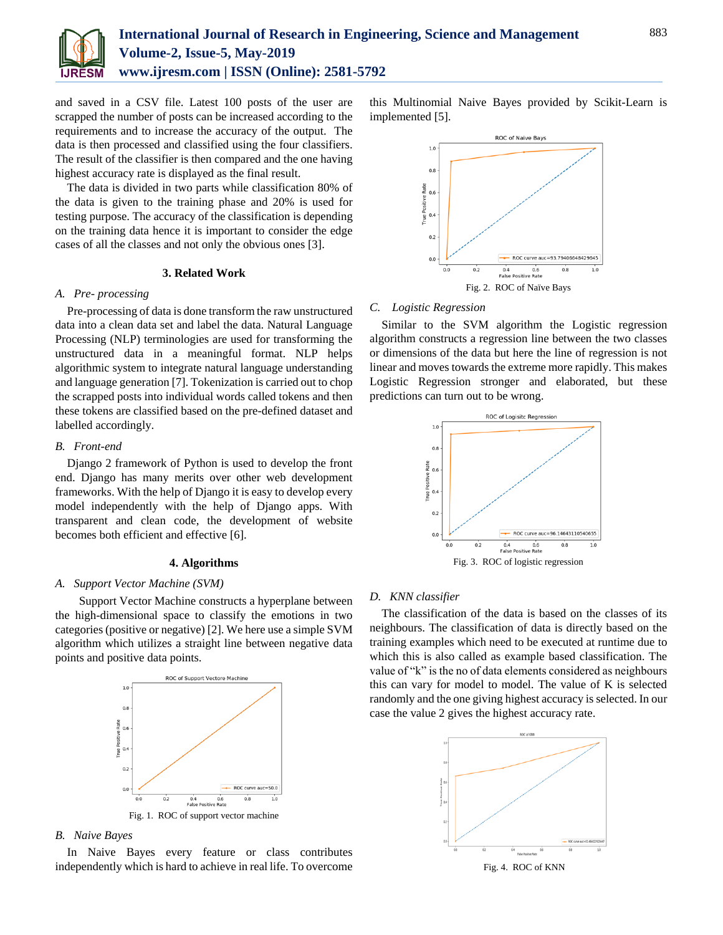

and saved in a CSV file. Latest 100 posts of the user are scrapped the number of posts can be increased according to the requirements and to increase the accuracy of the output. The data is then processed and classified using the four classifiers. The result of the classifier is then compared and the one having highest accuracy rate is displayed as the final result.

The data is divided in two parts while classification 80% of the data is given to the training phase and 20% is used for testing purpose. The accuracy of the classification is depending on the training data hence it is important to consider the edge cases of all the classes and not only the obvious ones [3].

## **3. Related Work**

# *A. Pre- processing*

Pre-processing of data is done transform the raw unstructured data into a clean data set and label the data. Natural Language Processing (NLP) terminologies are used for transforming the unstructured data in a meaningful format. NLP helps algorithmic system to integrate natural language understanding and language generation [7]. Tokenization is carried out to chop the scrapped posts into individual words called tokens and then these tokens are classified based on the pre-defined dataset and labelled accordingly.

#### *B. Front-end*

Django 2 framework of Python is used to develop the front end. Django has many merits over other web development frameworks. With the help of Django it is easy to develop every model independently with the help of Django apps. With transparent and clean code, the development of website becomes both efficient and effective [6].

#### **4. Algorithms**

## *A. Support Vector Machine (SVM)*

Support Vector Machine constructs a hyperplane between the high-dimensional space to classify the emotions in two categories (positive or negative) [2]. We here use a simple SVM algorithm which utilizes a straight line between negative data points and positive data points.



*B. Naive Bayes*

In Naive Bayes every feature or class contributes independently which is hard to achieve in real life. To overcome

this Multinomial Naive Bayes provided by Scikit-Learn is implemented [5].



#### *C. Logistic Regression*

Similar to the SVM algorithm the Logistic regression algorithm constructs a regression line between the two classes or dimensions of the data but here the line of regression is not linear and moves towards the extreme more rapidly. This makes Logistic Regression stronger and elaborated, but these predictions can turn out to be wrong.



## *D. KNN classifier*

The classification of the data is based on the classes of its neighbours. The classification of data is directly based on the training examples which need to be executed at runtime due to which this is also called as example based classification. The value of "k" is the no of data elements considered as neighbours this can vary for model to model. The value of K is selected randomly and the one giving highest accuracy is selected. In our case the value 2 gives the highest accuracy rate.



Fig. 4. ROC of KNN